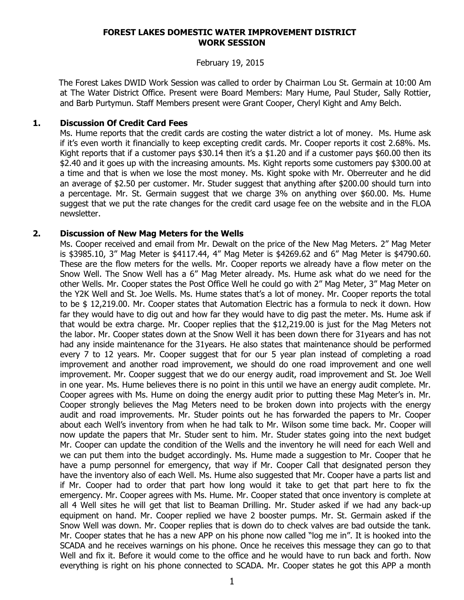## **FOREST LAKES DOMESTIC WATER IMPROVEMENT DISTRICT WORK SESSION**

February 19, 2015

 The Forest Lakes DWID Work Session was called to order by Chairman Lou St. Germain at 10:00 Am at The Water District Office. Present were Board Members: Mary Hume, Paul Studer, Sally Rottier, and Barb Purtymun. Staff Members present were Grant Cooper, Cheryl Kight and Amy Belch.

## **1. Discussion Of Credit Card Fees**

Ms. Hume reports that the credit cards are costing the water district a lot of money. Ms. Hume ask if it's even worth it financially to keep excepting credit cards. Mr. Cooper reports it cost 2.68%. Ms. Kight reports that if a customer pays \$30.14 then it's a \$1.20 and if a customer pays \$60.00 then its \$2.40 and it goes up with the increasing amounts. Ms. Kight reports some customers pay \$300.00 at a time and that is when we lose the most money. Ms. Kight spoke with Mr. Oberreuter and he did an average of \$2.50 per customer. Mr. Studer suggest that anything after \$200.00 should turn into a percentage. Mr. St. Germain suggest that we charge 3% on anything over \$60.00. Ms. Hume suggest that we put the rate changes for the credit card usage fee on the website and in the FLOA newsletter.

## **2. Discussion of New Mag Meters for the Wells**

Ms. Cooper received and email from Mr. Dewalt on the price of the New Mag Meters. 2" Mag Meter is \$3985.10, 3" Mag Meter is \$4117.44, 4" Mag Meter is \$4269.62 and 6" Mag Meter is \$4790.60. These are the flow meters for the wells. Mr. Cooper reports we already have a flow meter on the Snow Well. The Snow Well has a 6" Mag Meter already. Ms. Hume ask what do we need for the other Wells. Mr. Cooper states the Post Office Well he could go with 2" Mag Meter, 3" Mag Meter on the Y2K Well and St. Joe Wells. Ms. Hume states that's a lot of money. Mr. Cooper reports the total to be \$ 12,219.00. Mr. Cooper states that Automation Electric has a formula to neck it down. How far they would have to dig out and how far they would have to dig past the meter. Ms. Hume ask if that would be extra charge. Mr. Cooper replies that the \$12,219.00 is just for the Mag Meters not the labor. Mr. Cooper states down at the Snow Well it has been down there for 31years and has not had any inside maintenance for the 31years. He also states that maintenance should be performed every 7 to 12 years. Mr. Cooper suggest that for our 5 year plan instead of completing a road improvement and another road improvement, we should do one road improvement and one well improvement. Mr. Cooper suggest that we do our energy audit, road improvement and St. Joe Well in one year. Ms. Hume believes there is no point in this until we have an energy audit complete. Mr. Cooper agrees with Ms. Hume on doing the energy audit prior to putting these Mag Meter's in. Mr. Cooper strongly believes the Mag Meters need to be broken down into projects with the energy audit and road improvements. Mr. Studer points out he has forwarded the papers to Mr. Cooper about each Well's inventory from when he had talk to Mr. Wilson some time back. Mr. Cooper will now update the papers that Mr. Studer sent to him. Mr. Studer states going into the next budget Mr. Cooper can update the condition of the Wells and the inventory he will need for each Well and we can put them into the budget accordingly. Ms. Hume made a suggestion to Mr. Cooper that he have a pump personnel for emergency, that way if Mr. Cooper Call that designated person they have the inventory also of each Well. Ms. Hume also suggested that Mr. Cooper have a parts list and if Mr. Cooper had to order that part how long would it take to get that part here to fix the emergency. Mr. Cooper agrees with Ms. Hume. Mr. Cooper stated that once inventory is complete at all 4 Well sites he will get that list to Beaman Drilling. Mr. Studer asked if we had any back-up equipment on hand. Mr. Cooper replied we have 2 booster pumps. Mr. St. Germain asked if the Snow Well was down. Mr. Cooper replies that is down do to check valves are bad outside the tank. Mr. Cooper states that he has a new APP on his phone now called "log me in". It is hooked into the SCADA and he receives warnings on his phone. Once he receives this message they can go to that Well and fix it. Before it would come to the office and he would have to run back and forth. Now everything is right on his phone connected to SCADA. Mr. Cooper states he got this APP a month